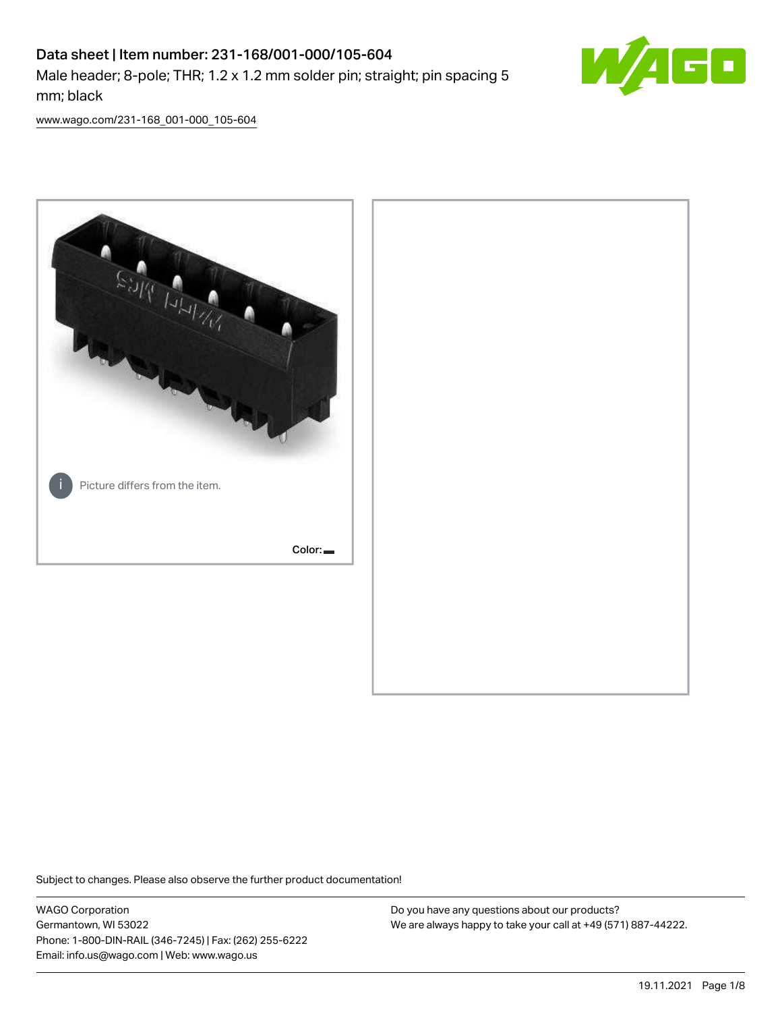## Data sheet | Item number: 231-168/001-000/105-604 Male header; 8-pole; THR; 1.2 x 1.2 mm solder pin; straight; pin spacing 5 mm; black



[www.wago.com/231-168\\_001-000\\_105-604](http://www.wago.com/231-168_001-000_105-604)



Subject to changes. Please also observe the further product documentation!

WAGO Corporation Germantown, WI 53022 Phone: 1-800-DIN-RAIL (346-7245) | Fax: (262) 255-6222 Email: info.us@wago.com | Web: www.wago.us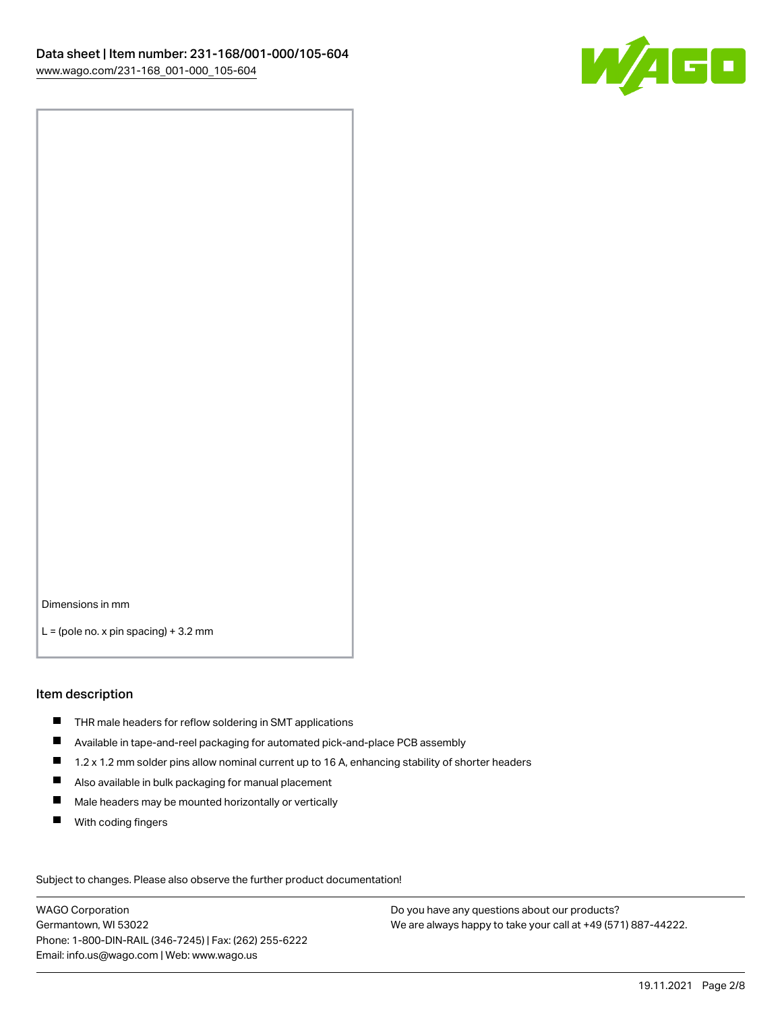

Dimensions in mm

 $L =$  (pole no. x pin spacing) + 3.2 mm

#### Item description

- THR male headers for reflow soldering in SMT applications
- Available in tape-and-reel packaging for automated pick-and-place PCB assembly
- $\blacksquare$ 1.2 x 1.2 mm solder pins allow nominal current up to 16 A, enhancing stability of shorter headers
- Also available in bulk packaging for manual placement
- $\blacksquare$ Male headers may be mounted horizontally or vertically
- $\blacksquare$ With coding fingers

Subject to changes. Please also observe the further product documentation! Data

WAGO Corporation Germantown, WI 53022 Phone: 1-800-DIN-RAIL (346-7245) | Fax: (262) 255-6222 Email: info.us@wago.com | Web: www.wago.us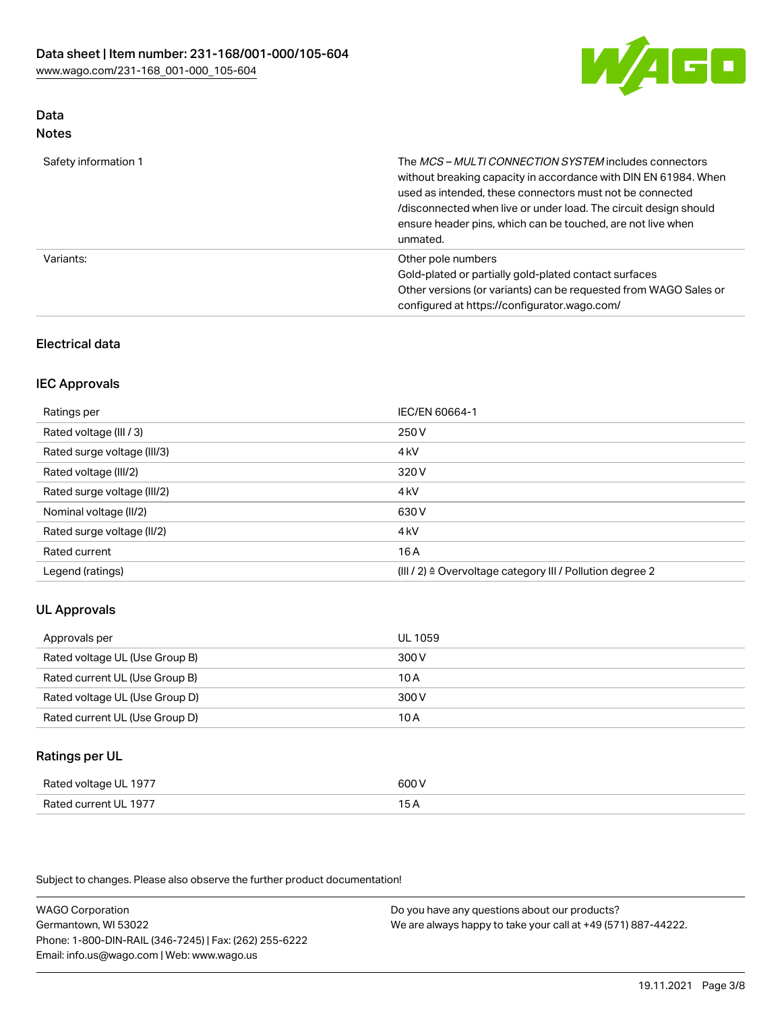

## Data Notes

|  | - -- - |  |  |  |
|--|--------|--|--|--|
|  |        |  |  |  |
|  |        |  |  |  |
|  |        |  |  |  |
|  |        |  |  |  |
|  |        |  |  |  |
|  |        |  |  |  |
|  |        |  |  |  |
|  |        |  |  |  |
|  |        |  |  |  |

| Safety information 1 | The MCS-MULTI CONNECTION SYSTEM includes connectors<br>without breaking capacity in accordance with DIN EN 61984. When<br>used as intended, these connectors must not be connected<br>/disconnected when live or under load. The circuit design should<br>ensure header pins, which can be touched, are not live when<br>unmated. |
|----------------------|-----------------------------------------------------------------------------------------------------------------------------------------------------------------------------------------------------------------------------------------------------------------------------------------------------------------------------------|
| Variants:            | Other pole numbers<br>Gold-plated or partially gold-plated contact surfaces<br>Other versions (or variants) can be requested from WAGO Sales or<br>configured at https://configurator.wago.com/                                                                                                                                   |

## Electrical data

## IEC Approvals

| Ratings per                 | IEC/EN 60664-1                                                        |
|-----------------------------|-----------------------------------------------------------------------|
| Rated voltage (III / 3)     | 250 V                                                                 |
| Rated surge voltage (III/3) | 4 <sub>k</sub> V                                                      |
| Rated voltage (III/2)       | 320 V                                                                 |
| Rated surge voltage (III/2) | 4 <sub>k</sub> V                                                      |
| Nominal voltage (II/2)      | 630 V                                                                 |
| Rated surge voltage (II/2)  | 4 <sub>k</sub> V                                                      |
| Rated current               | 16A                                                                   |
| Legend (ratings)            | $(III / 2)$ $\triangle$ Overvoltage category III / Pollution degree 2 |

## UL Approvals

| Approvals per                  | UL 1059 |
|--------------------------------|---------|
| Rated voltage UL (Use Group B) | 300 V   |
| Rated current UL (Use Group B) | 10 A    |
| Rated voltage UL (Use Group D) | 300 V   |
| Rated current UL (Use Group D) | 10 A    |

## Ratings per UL

| Rated voltage UL 1977            | ור                                        |
|----------------------------------|-------------------------------------------|
| Lourrent III, 1977<br>Rated<br>. | $\sim$ $\sim$ $\sim$ $\sim$ $\sim$ $\sim$ |

Subject to changes. Please also observe the further product documentation!

WAGO Corporation Germantown, WI 53022 Phone: 1-800-DIN-RAIL (346-7245) | Fax: (262) 255-6222 Email: info.us@wago.com | Web: www.wago.us Do you have any questions about our products? We are always happy to take your call at +49 (571) 887-44222.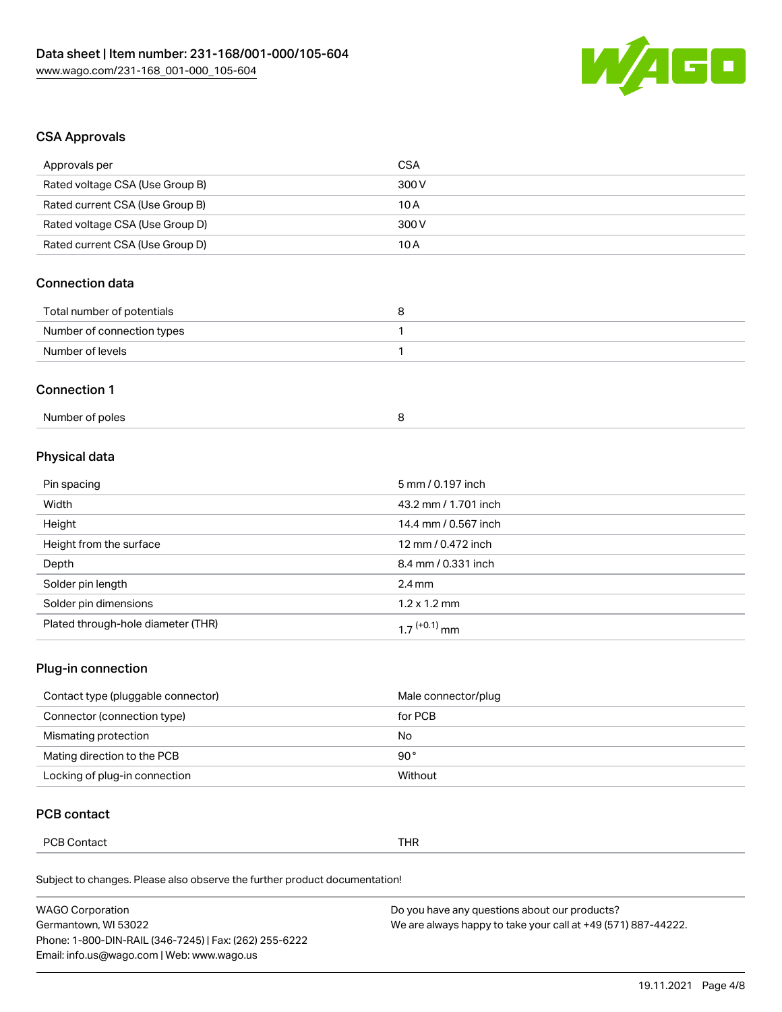

## CSA Approvals

| Approvals per                   | <b>CSA</b> |
|---------------------------------|------------|
| Rated voltage CSA (Use Group B) | 300 V      |
| Rated current CSA (Use Group B) | 10 A       |
| Rated voltage CSA (Use Group D) | 300 V      |
| Rated current CSA (Use Group D) | 10 A       |
|                                 |            |

## Connection data

| Total number of potentials |  |
|----------------------------|--|
| Number of connection types |  |
| Number of levels           |  |

#### Connection 1

## Physical data

| Pin spacing                        | 5 mm / 0.197 inch        |
|------------------------------------|--------------------------|
| Width                              | 43.2 mm / 1.701 inch     |
| Height                             | 14.4 mm / 0.567 inch     |
| Height from the surface            | 12 mm / 0.472 inch       |
| Depth                              | 8.4 mm / 0.331 inch      |
| Solder pin length                  | $2.4 \text{ mm}$         |
| Solder pin dimensions              | $1.2 \times 1.2$ mm      |
| Plated through-hole diameter (THR) | 1.7 <sup>(+0.1)</sup> mm |

## Plug-in connection

| Contact type (pluggable connector) | Male connector/plug |
|------------------------------------|---------------------|
| Connector (connection type)        | for PCB             |
| Mismating protection               | No                  |
| Mating direction to the PCB        | 90°                 |
| Locking of plug-in connection      | Without             |

## PCB contact

| Thr<br>ontact<br>ັ∪⊃ັ<br>. |
|----------------------------|
|----------------------------|

Subject to changes. Please also observe the further product documentation!

| <b>WAGO Corporation</b>                                | Do you have any questions about our products?                 |  |
|--------------------------------------------------------|---------------------------------------------------------------|--|
| Germantown, WI 53022                                   | We are always happy to take your call at +49 (571) 887-44222. |  |
| Phone: 1-800-DIN-RAIL (346-7245)   Fax: (262) 255-6222 |                                                               |  |
| Email: info.us@wago.com   Web: www.wago.us             |                                                               |  |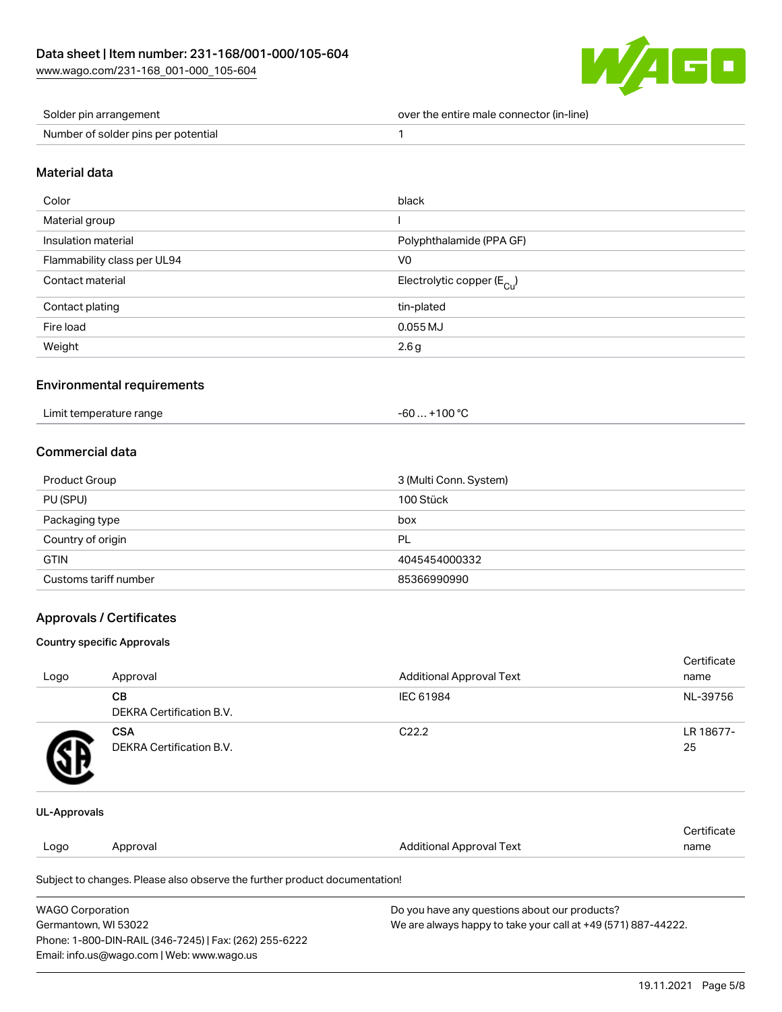

| Solder pin arrangement              | over the entire male connector (in-line) |
|-------------------------------------|------------------------------------------|
| Number of solder pins per potential |                                          |

## Material data

| Color                       | black                                  |
|-----------------------------|----------------------------------------|
| Material group              |                                        |
| Insulation material         | Polyphthalamide (PPA GF)               |
| Flammability class per UL94 | V <sub>0</sub>                         |
| Contact material            | Electrolytic copper (E <sub>Cu</sub> ) |
| Contact plating             | tin-plated                             |
| Fire load                   | $0.055$ MJ                             |
| Weight                      | 2.6 <sub>g</sub>                       |

#### Environmental requirements

| Limit temperature range<br>. | $. +100 °C$<br>-60 |  |
|------------------------------|--------------------|--|
|------------------------------|--------------------|--|

## Commercial data

| Product Group         | 3 (Multi Conn. System) |
|-----------------------|------------------------|
| PU (SPU)              | 100 Stück              |
| Packaging type        | box                    |
| Country of origin     | PL                     |
| <b>GTIN</b>           | 4045454000332          |
| Customs tariff number | 85366990990            |

## Approvals / Certificates

## Country specific Approvals

|              |                                              |                                 | Certificate     |
|--------------|----------------------------------------------|---------------------------------|-----------------|
| Logo         | Approval                                     | <b>Additional Approval Text</b> | name            |
|              | <b>CB</b><br><b>DEKRA Certification B.V.</b> | IEC 61984                       | NL-39756        |
| 9Е           | <b>CSA</b><br>DEKRA Certification B.V.       | C <sub>22.2</sub>               | LR 18677-<br>25 |
| UL-Approvals |                                              |                                 |                 |

|      |          |                                 | Cortificate |
|------|----------|---------------------------------|-------------|
| Logo | Approval | <b>Additional Approval Text</b> | name        |
|      |          |                                 |             |

Subject to changes. Please also observe the further product documentation!

| <b>WAGO Corporation</b>                                | Do you have any questions about our products?                 |
|--------------------------------------------------------|---------------------------------------------------------------|
| Germantown, WI 53022                                   | We are always happy to take your call at +49 (571) 887-44222. |
| Phone: 1-800-DIN-RAIL (346-7245)   Fax: (262) 255-6222 |                                                               |
| Email: info.us@wago.com   Web: www.wago.us             |                                                               |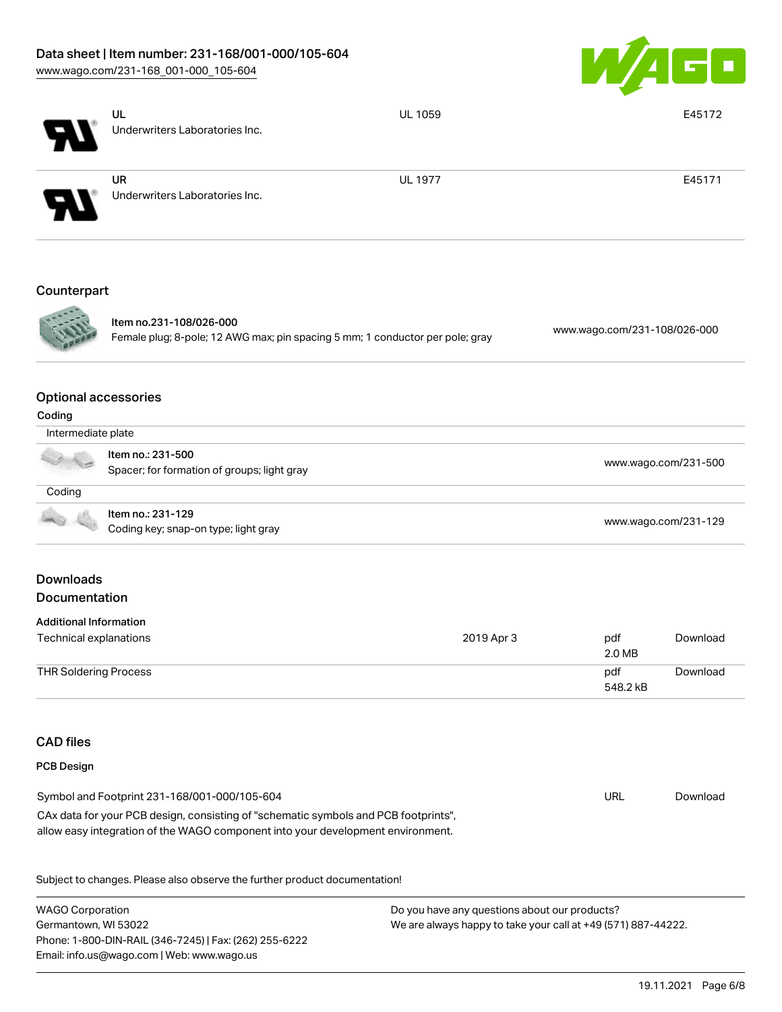# Data sheet | Item number: 231-168/001-000/105-604

[www.wago.com/231-168\\_001-000\\_105-604](http://www.wago.com/231-168_001-000_105-604)



|                                       | UL                                                                                                                                                                     | <b>UL 1059</b> |                              | E45172   |
|---------------------------------------|------------------------------------------------------------------------------------------------------------------------------------------------------------------------|----------------|------------------------------|----------|
|                                       | Underwriters Laboratories Inc.                                                                                                                                         |                |                              |          |
|                                       | <b>UR</b><br>Underwriters Laboratories Inc.                                                                                                                            | <b>UL 1977</b> |                              | E45171   |
|                                       |                                                                                                                                                                        |                |                              |          |
| Counterpart                           |                                                                                                                                                                        |                |                              |          |
|                                       | Item no.231-108/026-000<br>Female plug; 8-pole; 12 AWG max; pin spacing 5 mm; 1 conductor per pole; gray                                                               |                | www.wago.com/231-108/026-000 |          |
| <b>Optional accessories</b><br>Coding |                                                                                                                                                                        |                |                              |          |
| Intermediate plate                    |                                                                                                                                                                        |                |                              |          |
|                                       | Item no.: 231-500<br>www.wago.com/231-500<br>Spacer; for formation of groups; light gray                                                                               |                |                              |          |
| Coding                                |                                                                                                                                                                        |                |                              |          |
|                                       | Item no.: 231-129<br>Coding key; snap-on type; light gray                                                                                                              |                | www.wago.com/231-129         |          |
| <b>Downloads</b><br>Documentation     |                                                                                                                                                                        |                |                              |          |
| <b>Additional Information</b>         |                                                                                                                                                                        |                |                              |          |
| Technical explanations                |                                                                                                                                                                        | 2019 Apr 3     | pdf<br>2.0 MB                | Download |
| <b>THR Soldering Process</b>          |                                                                                                                                                                        |                | pdf<br>548.2 kB              | Download |
| <b>CAD</b> files                      |                                                                                                                                                                        |                |                              |          |
| <b>PCB Design</b>                     |                                                                                                                                                                        |                |                              |          |
|                                       | Symbol and Footprint 231-168/001-000/105-604                                                                                                                           |                | <b>URL</b>                   | Download |
|                                       | CAx data for your PCB design, consisting of "schematic symbols and PCB footprints",<br>allow easy integration of the WAGO component into your development environment. |                |                              |          |

Subject to changes. Please also observe the further product documentation!

WAGO Corporation Germantown, WI 53022 Phone: 1-800-DIN-RAIL (346-7245) | Fax: (262) 255-6222 Email: info.us@wago.com | Web: www.wago.us Do you have any questions about our products? We are always happy to take your call at +49 (571) 887-44222.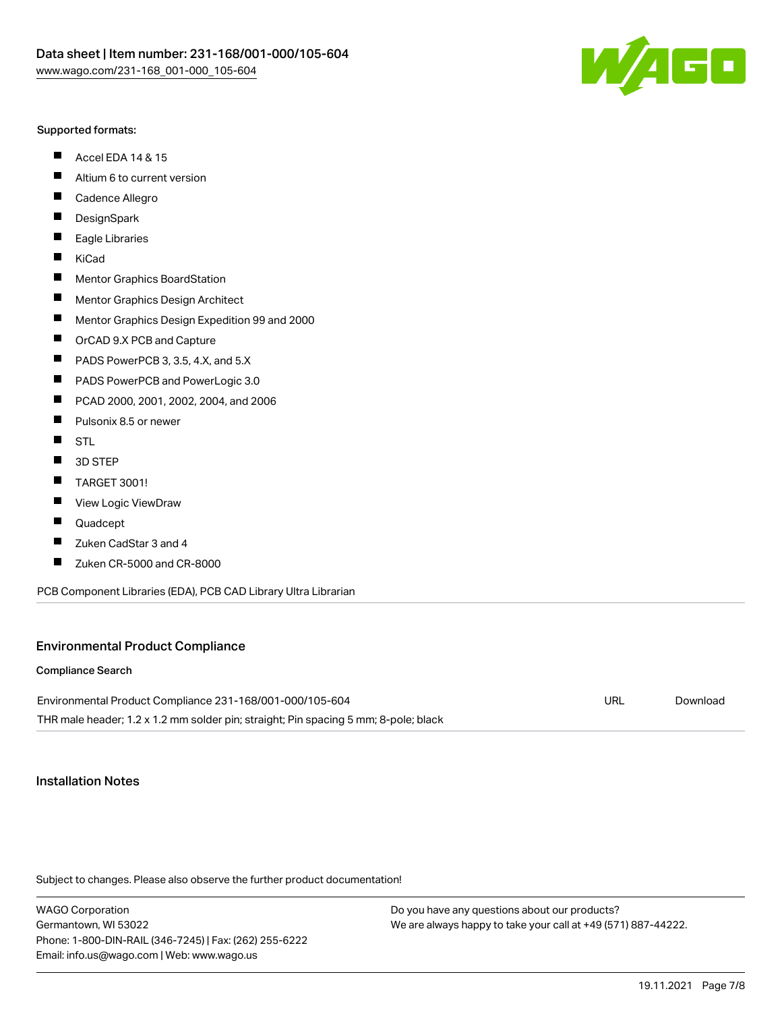

#### Supported formats:

- $\blacksquare$ Accel EDA 14 & 15
- $\blacksquare$ Altium 6 to current version
- $\blacksquare$ Cadence Allegro
- $\blacksquare$ **DesignSpark**
- $\blacksquare$ Eagle Libraries
- $\blacksquare$ KiCad
- $\blacksquare$ Mentor Graphics BoardStation
- $\blacksquare$ Mentor Graphics Design Architect
- $\blacksquare$ Mentor Graphics Design Expedition 99 and 2000
- $\blacksquare$ OrCAD 9.X PCB and Capture
- $\blacksquare$ PADS PowerPCB 3, 3.5, 4.X, and 5.X
- $\blacksquare$ PADS PowerPCB and PowerLogic 3.0
- $\blacksquare$ PCAD 2000, 2001, 2002, 2004, and 2006
- $\blacksquare$ Pulsonix 8.5 or newer
- $\blacksquare$ STL
- 3D STEP П
- П TARGET 3001!
- $\blacksquare$ View Logic ViewDraw
- П Quadcept
- $\blacksquare$ Zuken CadStar 3 and 4
- Zuken CR-5000 and CR-8000 П

PCB Component Libraries (EDA), PCB CAD Library Ultra Librarian

## Environmental Product Compliance

#### Compliance Search

Environmental Product Compliance 231-168/001-000/105-604 THR male header; 1.2 x 1.2 mm solder pin; straight; Pin spacing 5 mm; 8-pole; black URL [Download](https://www.wago.com/global/d/ComplianceLinkMediaContainer_231-168_001-000_105-604)

## Installation Notes

Subject to changes. Please also observe the further product documentation!

WAGO Corporation Germantown, WI 53022 Phone: 1-800-DIN-RAIL (346-7245) | Fax: (262) 255-6222 Email: info.us@wago.com | Web: www.wago.us